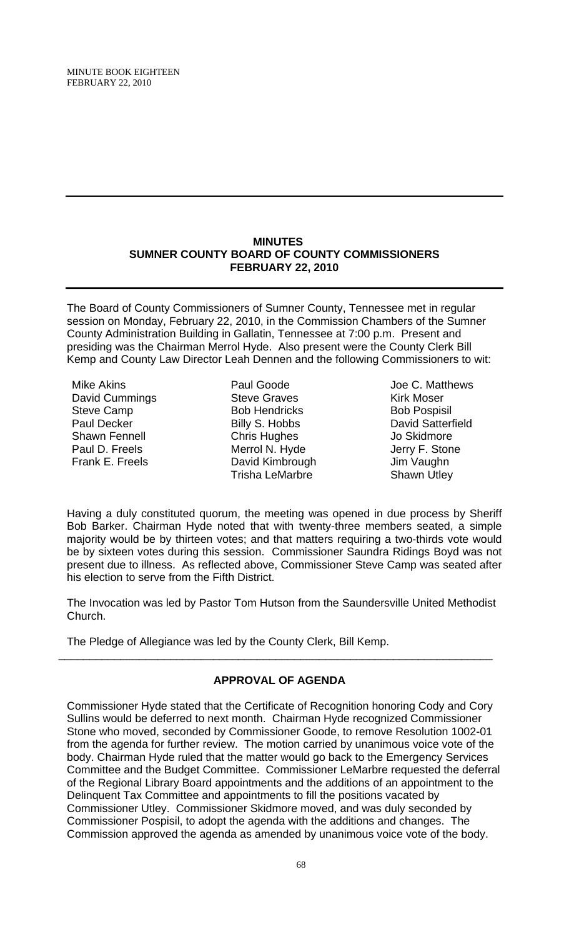MINUTE BOOK EIGHTEEN FEBRUARY 22, 2010

#### **MINUTES SUMNER COUNTY BOARD OF COUNTY COMMISSIONERS FEBRUARY 22, 2010**

The Board of County Commissioners of Sumner County, Tennessee met in regular session on Monday, February 22, 2010, in the Commission Chambers of the Sumner County Administration Building in Gallatin, Tennessee at 7:00 p.m. Present and presiding was the Chairman Merrol Hyde. Also present were the County Clerk Bill Kemp and County Law Director Leah Dennen and the following Commissioners to wit:

Mike Akins David Cummings Steve Camp Paul Decker Shawn Fennell Paul D. Freels Frank E. Freels

Paul Goode Steve Graves Bob Hendricks Billy S. Hobbs Chris Hughes Merrol N. Hyde David Kimbrough Trisha LeMarbre

Joe C. Matthews Kirk Moser Bob Pospisil David Satterfield Jo Skidmore Jerry F. Stone Jim Vaughn Shawn Utley

Having a duly constituted quorum, the meeting was opened in due process by Sheriff Bob Barker. Chairman Hyde noted that with twenty-three members seated, a simple majority would be by thirteen votes; and that matters requiring a two-thirds vote would be by sixteen votes during this session. Commissioner Saundra Ridings Boyd was not present due to illness. As reflected above, Commissioner Steve Camp was seated after his election to serve from the Fifth District.

The Invocation was led by Pastor Tom Hutson from the Saundersville United Methodist Church.

The Pledge of Allegiance was led by the County Clerk, Bill Kemp.

# **APPROVAL OF AGENDA**

\_\_\_\_\_\_\_\_\_\_\_\_\_\_\_\_\_\_\_\_\_\_\_\_\_\_\_\_\_\_\_\_\_\_\_\_\_\_\_\_\_\_\_\_\_\_\_\_\_\_\_\_\_\_\_\_\_\_\_\_\_\_\_\_\_\_\_\_\_\_

Commissioner Hyde stated that the Certificate of Recognition honoring Cody and Cory Sullins would be deferred to next month. Chairman Hyde recognized Commissioner Stone who moved, seconded by Commissioner Goode, to remove Resolution 1002-01 from the agenda for further review. The motion carried by unanimous voice vote of the body. Chairman Hyde ruled that the matter would go back to the Emergency Services Committee and the Budget Committee. Commissioner LeMarbre requested the deferral of the Regional Library Board appointments and the additions of an appointment to the Delinquent Tax Committee and appointments to fill the positions vacated by Commissioner Utley. Commissioner Skidmore moved, and was duly seconded by Commissioner Pospisil, to adopt the agenda with the additions and changes. The Commission approved the agenda as amended by unanimous voice vote of the body.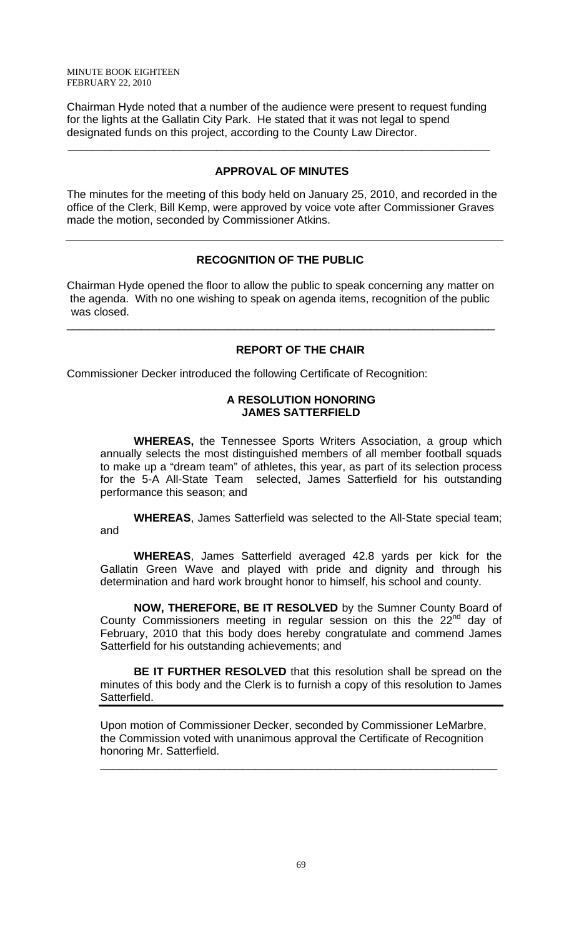Chairman Hyde noted that a number of the audience were present to request funding for the lights at the Gallatin City Park. He stated that it was not legal to spend designated funds on this project, according to the County Law Director.

 $\overline{\phantom{a}}$  , and the contribution of the contribution of the contribution of the contribution of the contribution of the contribution of the contribution of the contribution of the contribution of the contribution of the

## **APPROVAL OF MINUTES**

The minutes for the meeting of this body held on January 25, 2010, and recorded in the office of the Clerk, Bill Kemp, were approved by voice vote after Commissioner Graves made the motion, seconded by Commissioner Atkins.

# **RECOGNITION OF THE PUBLIC**

Chairman Hyde opened the floor to allow the public to speak concerning any matter on the agenda. With no one wishing to speak on agenda items, recognition of the public was closed.

\_\_\_\_\_\_\_\_\_\_\_\_\_\_\_\_\_\_\_\_\_\_\_\_\_\_\_\_\_\_\_\_\_\_\_\_\_\_\_\_\_\_\_\_\_\_\_\_\_\_\_\_\_\_\_\_\_\_\_\_\_\_\_\_\_\_\_\_\_

## **REPORT OF THE CHAIR**

Commissioner Decker introduced the following Certificate of Recognition:

## **A RESOLUTION HONORING JAMES SATTERFIELD**

 **WHEREAS,** the Tennessee Sports Writers Association, a group which annually selects the most distinguished members of all member football squads to make up a "dream team" of athletes, this year, as part of its selection process for the 5-A All-State Team selected, James Satterfield for his outstanding performance this season; and

**WHEREAS**, James Satterfield was selected to the All-State special team; and

**WHEREAS**, James Satterfield averaged 42.8 yards per kick for the Gallatin Green Wave and played with pride and dignity and through his determination and hard work brought honor to himself, his school and county.

**NOW, THEREFORE, BE IT RESOLVED** by the Sumner County Board of County Commissioners meeting in regular session on this the  $22<sup>nd</sup>$  day of February, 2010 that this body does hereby congratulate and commend James Satterfield for his outstanding achievements; and

**BE IT FURTHER RESOLVED** that this resolution shall be spread on the minutes of this body and the Clerk is to furnish a copy of this resolution to James Satterfield.

Upon motion of Commissioner Decker, seconded by Commissioner LeMarbre, the Commission voted with unanimous approval the Certificate of Recognition honoring Mr. Satterfield.

\_\_\_\_\_\_\_\_\_\_\_\_\_\_\_\_\_\_\_\_\_\_\_\_\_\_\_\_\_\_\_\_\_\_\_\_\_\_\_\_\_\_\_\_\_\_\_\_\_\_\_\_\_\_\_\_\_\_\_\_\_\_\_\_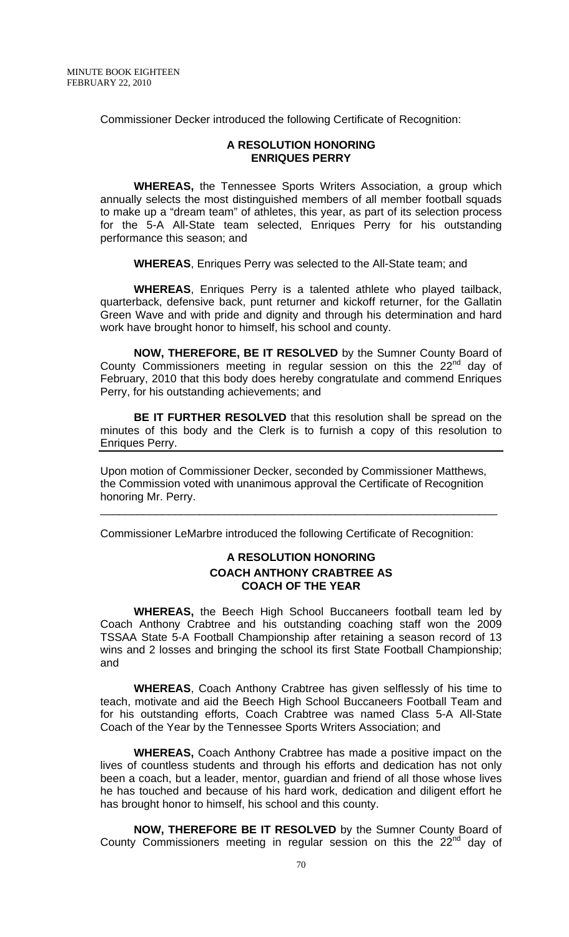Commissioner Decker introduced the following Certificate of Recognition:

#### **A RESOLUTION HONORING ENRIQUES PERRY**

 **WHEREAS,** the Tennessee Sports Writers Association, a group which annually selects the most distinguished members of all member football squads to make up a "dream team" of athletes, this year, as part of its selection process for the 5-A All-State team selected, Enriques Perry for his outstanding performance this season; and

**WHEREAS**, Enriques Perry was selected to the All-State team; and

**WHEREAS**, Enriques Perry is a talented athlete who played tailback, quarterback, defensive back, punt returner and kickoff returner, for the Gallatin Green Wave and with pride and dignity and through his determination and hard work have brought honor to himself, his school and county.

**NOW, THEREFORE, BE IT RESOLVED** by the Sumner County Board of County Commissioners meeting in regular session on this the  $22^{nd}$  day of February, 2010 that this body does hereby congratulate and commend Enriques Perry, for his outstanding achievements; and

**BE IT FURTHER RESOLVED** that this resolution shall be spread on the minutes of this body and the Clerk is to furnish a copy of this resolution to Enriques Perry.

Upon motion of Commissioner Decker, seconded by Commissioner Matthews, the Commission voted with unanimous approval the Certificate of Recognition honoring Mr. Perry.

Commissioner LeMarbre introduced the following Certificate of Recognition:

\_\_\_\_\_\_\_\_\_\_\_\_\_\_\_\_\_\_\_\_\_\_\_\_\_\_\_\_\_\_\_\_\_\_\_\_\_\_\_\_\_\_\_\_\_\_\_\_\_\_\_\_\_\_\_\_\_\_\_\_\_\_\_\_

## **A RESOLUTION HONORING COACH ANTHONY CRABTREE AS COACH OF THE YEAR**

**WHEREAS,** the Beech High School Buccaneers football team led by Coach Anthony Crabtree and his outstanding coaching staff won the 2009 TSSAA State 5-A Football Championship after retaining a season record of 13 wins and 2 losses and bringing the school its first State Football Championship; and

**WHEREAS**, Coach Anthony Crabtree has given selflessly of his time to teach, motivate and aid the Beech High School Buccaneers Football Team and for his outstanding efforts, Coach Crabtree was named Class 5-A All-State Coach of the Year by the Tennessee Sports Writers Association; and

**WHEREAS,** Coach Anthony Crabtree has made a positive impact on the lives of countless students and through his efforts and dedication has not only been a coach, but a leader, mentor, guardian and friend of all those whose lives he has touched and because of his hard work, dedication and diligent effort he has brought honor to himself, his school and this county.

**NOW, THEREFORE BE IT RESOLVED** by the Sumner County Board of County Commissioners meeting in regular session on this the  $22<sup>nd</sup>$  day of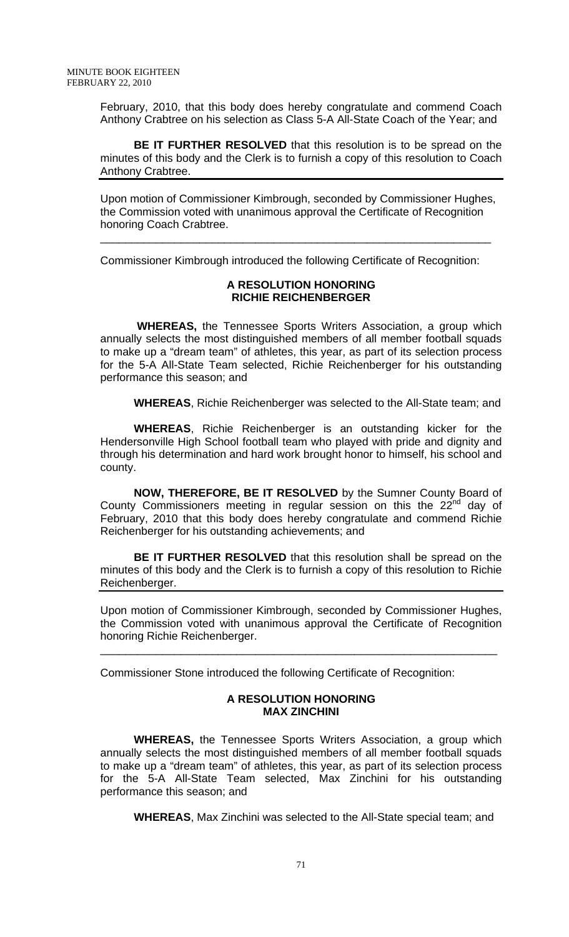February, 2010, that this body does hereby congratulate and commend Coach Anthony Crabtree on his selection as Class 5-A All-State Coach of the Year; and

**BE IT FURTHER RESOLVED** that this resolution is to be spread on the minutes of this body and the Clerk is to furnish a copy of this resolution to Coach Anthony Crabtree.

Upon motion of Commissioner Kimbrough, seconded by Commissioner Hughes, the Commission voted with unanimous approval the Certificate of Recognition honoring Coach Crabtree.

\_\_\_\_\_\_\_\_\_\_\_\_\_\_\_\_\_\_\_\_\_\_\_\_\_\_\_\_\_\_\_\_\_\_\_\_\_\_\_\_\_\_\_\_\_\_\_\_\_\_\_\_\_\_\_\_\_\_\_\_\_\_\_

Commissioner Kimbrough introduced the following Certificate of Recognition:

### **A RESOLUTION HONORING RICHIE REICHENBERGER**

**WHEREAS,** the Tennessee Sports Writers Association, a group which annually selects the most distinguished members of all member football squads to make up a "dream team" of athletes, this year, as part of its selection process for the 5-A All-State Team selected, Richie Reichenberger for his outstanding performance this season; and

**WHEREAS**, Richie Reichenberger was selected to the All-State team; and

**WHEREAS**, Richie Reichenberger is an outstanding kicker for the Hendersonville High School football team who played with pride and dignity and through his determination and hard work brought honor to himself, his school and county.

**NOW, THEREFORE, BE IT RESOLVED** by the Sumner County Board of County Commissioners meeting in regular session on this the  $22<sup>nd</sup>$  day of February, 2010 that this body does hereby congratulate and commend Richie Reichenberger for his outstanding achievements; and

**BE IT FURTHER RESOLVED** that this resolution shall be spread on the minutes of this body and the Clerk is to furnish a copy of this resolution to Richie Reichenberger.

Upon motion of Commissioner Kimbrough, seconded by Commissioner Hughes, the Commission voted with unanimous approval the Certificate of Recognition honoring Richie Reichenberger.

\_\_\_\_\_\_\_\_\_\_\_\_\_\_\_\_\_\_\_\_\_\_\_\_\_\_\_\_\_\_\_\_\_\_\_\_\_\_\_\_\_\_\_\_\_\_\_\_\_\_\_\_\_\_\_\_\_\_\_\_\_\_\_\_

Commissioner Stone introduced the following Certificate of Recognition:

#### **A RESOLUTION HONORING MAX ZINCHINI**

 **WHEREAS,** the Tennessee Sports Writers Association, a group which annually selects the most distinguished members of all member football squads to make up a "dream team" of athletes, this year, as part of its selection process for the 5-A All-State Team selected, Max Zinchini for his outstanding performance this season; and

**WHEREAS**, Max Zinchini was selected to the All-State special team; and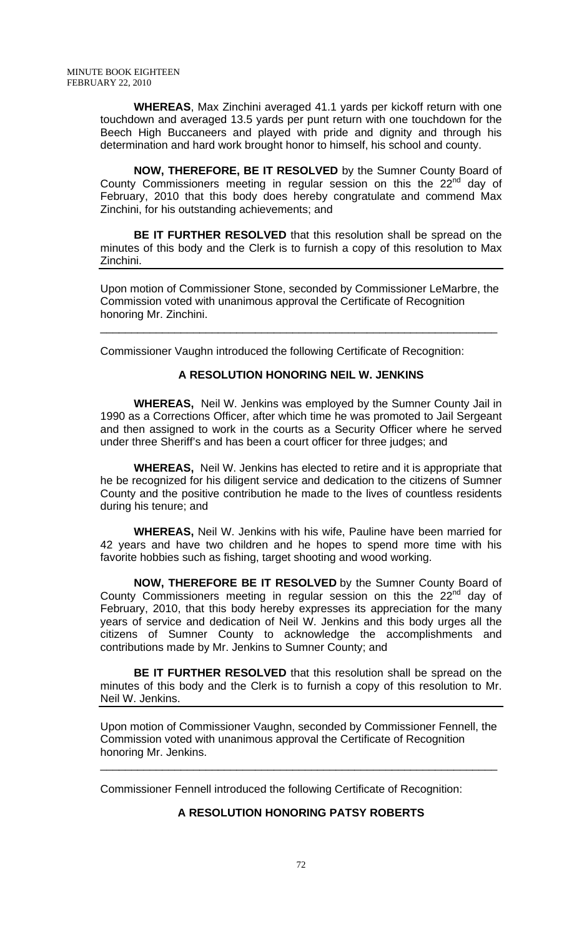**WHEREAS**, Max Zinchini averaged 41.1 yards per kickoff return with one touchdown and averaged 13.5 yards per punt return with one touchdown for the Beech High Buccaneers and played with pride and dignity and through his determination and hard work brought honor to himself, his school and county.

**NOW, THEREFORE, BE IT RESOLVED** by the Sumner County Board of County Commissioners meeting in regular session on this the  $22^{nd}$  day of February, 2010 that this body does hereby congratulate and commend Max Zinchini, for his outstanding achievements; and

**BE IT FURTHER RESOLVED** that this resolution shall be spread on the minutes of this body and the Clerk is to furnish a copy of this resolution to Max Zinchini.

Upon motion of Commissioner Stone, seconded by Commissioner LeMarbre, the Commission voted with unanimous approval the Certificate of Recognition honoring Mr. Zinchini.

\_\_\_\_\_\_\_\_\_\_\_\_\_\_\_\_\_\_\_\_\_\_\_\_\_\_\_\_\_\_\_\_\_\_\_\_\_\_\_\_\_\_\_\_\_\_\_\_\_\_\_\_\_\_\_\_\_\_\_\_\_\_\_\_

Commissioner Vaughn introduced the following Certificate of Recognition:

## **A RESOLUTION HONORING NEIL W. JENKINS**

 **WHEREAS,** Neil W. Jenkins was employed by the Sumner County Jail in 1990 as a Corrections Officer, after which time he was promoted to Jail Sergeant and then assigned to work in the courts as a Security Officer where he served under three Sheriff's and has been a court officer for three judges; and

**WHEREAS,** Neil W. Jenkins has elected to retire and it is appropriate that he be recognized for his diligent service and dedication to the citizens of Sumner County and the positive contribution he made to the lives of countless residents during his tenure; and

**WHEREAS,** Neil W. Jenkins with his wife, Pauline have been married for 42 years and have two children and he hopes to spend more time with his favorite hobbies such as fishing, target shooting and wood working.

**NOW, THEREFORE BE IT RESOLVED** by the Sumner County Board of County Commissioners meeting in regular session on this the  $22^{nd}$  day of February, 2010, that this body hereby expresses its appreciation for the many years of service and dedication of Neil W. Jenkins and this body urges all the citizens of Sumner County to acknowledge the accomplishments and contributions made by Mr. Jenkins to Sumner County; and

**BE IT FURTHER RESOLVED** that this resolution shall be spread on the minutes of this body and the Clerk is to furnish a copy of this resolution to Mr. Neil W. Jenkins.

Upon motion of Commissioner Vaughn, seconded by Commissioner Fennell, the Commission voted with unanimous approval the Certificate of Recognition honoring Mr. Jenkins. \_\_\_\_\_\_\_\_\_\_\_\_\_\_\_\_\_\_\_\_\_\_\_\_\_\_\_\_\_\_\_\_\_\_\_\_\_\_\_\_\_\_\_\_\_\_\_\_\_\_\_\_\_\_\_\_\_\_\_\_\_\_\_\_

Commissioner Fennell introduced the following Certificate of Recognition:

# **A RESOLUTION HONORING PATSY ROBERTS**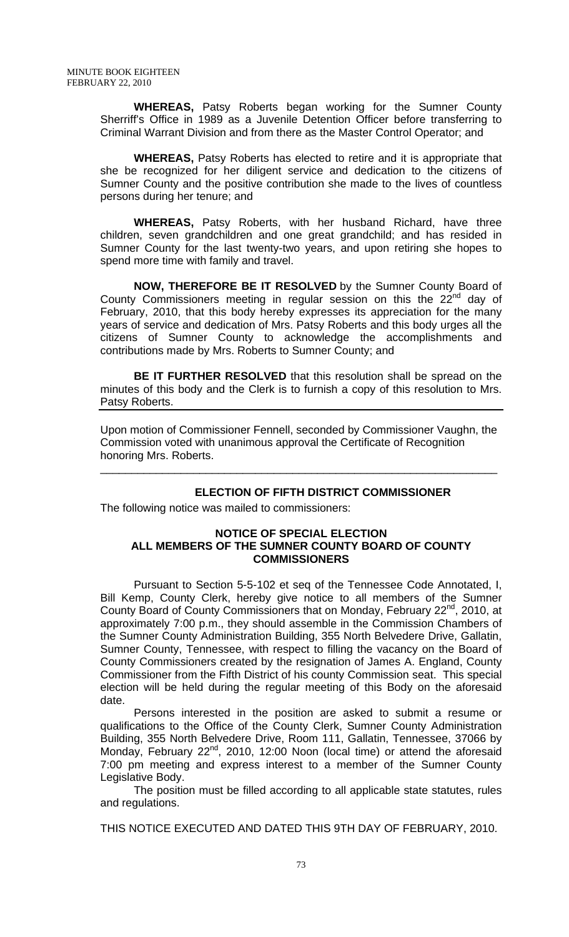**WHEREAS,** Patsy Roberts began working for the Sumner County Sherriff's Office in 1989 as a Juvenile Detention Officer before transferring to Criminal Warrant Division and from there as the Master Control Operator; and

**WHEREAS,** Patsy Roberts has elected to retire and it is appropriate that she be recognized for her diligent service and dedication to the citizens of Sumner County and the positive contribution she made to the lives of countless persons during her tenure; and

**WHEREAS,** Patsy Roberts, with her husband Richard, have three children, seven grandchildren and one great grandchild; and has resided in Sumner County for the last twenty-two years, and upon retiring she hopes to spend more time with family and travel.

**NOW, THEREFORE BE IT RESOLVED** by the Sumner County Board of County Commissioners meeting in regular session on this the  $22^{nd}$  day of February, 2010, that this body hereby expresses its appreciation for the many years of service and dedication of Mrs. Patsy Roberts and this body urges all the citizens of Sumner County to acknowledge the accomplishments and contributions made by Mrs. Roberts to Sumner County; and

**BE IT FURTHER RESOLVED** that this resolution shall be spread on the minutes of this body and the Clerk is to furnish a copy of this resolution to Mrs. Patsy Roberts.

Upon motion of Commissioner Fennell, seconded by Commissioner Vaughn, the Commission voted with unanimous approval the Certificate of Recognition honoring Mrs. Roberts.

\_\_\_\_\_\_\_\_\_\_\_\_\_\_\_\_\_\_\_\_\_\_\_\_\_\_\_\_\_\_\_\_\_\_\_\_\_\_\_\_\_\_\_\_\_\_\_\_\_\_\_\_\_\_\_\_\_\_\_\_\_\_\_\_

# **ELECTION OF FIFTH DISTRICT COMMISSIONER**

The following notice was mailed to commissioners:

#### **NOTICE OF SPECIAL ELECTION ALL MEMBERS OF THE SUMNER COUNTY BOARD OF COUNTY COMMISSIONERS**

Pursuant to Section 5-5-102 et seq of the Tennessee Code Annotated, I, Bill Kemp, County Clerk, hereby give notice to all members of the Sumner County Board of County Commissioners that on Monday, February 22<sup>nd</sup>, 2010, at approximately 7:00 p.m., they should assemble in the Commission Chambers of the Sumner County Administration Building, 355 North Belvedere Drive, Gallatin, Sumner County, Tennessee, with respect to filling the vacancy on the Board of County Commissioners created by the resignation of James A. England, County Commissioner from the Fifth District of his county Commission seat. This special election will be held during the regular meeting of this Body on the aforesaid date.

Persons interested in the position are asked to submit a resume or qualifications to the Office of the County Clerk, Sumner County Administration Building, 355 North Belvedere Drive, Room 111, Gallatin, Tennessee, 37066 by Monday, February 22<sup>nd</sup>, 2010, 12:00 Noon (local time) or attend the aforesaid 7:00 pm meeting and express interest to a member of the Sumner County Legislative Body.

The position must be filled according to all applicable state statutes, rules and regulations.

THIS NOTICE EXECUTED AND DATED THIS 9TH DAY OF FEBRUARY, 2010.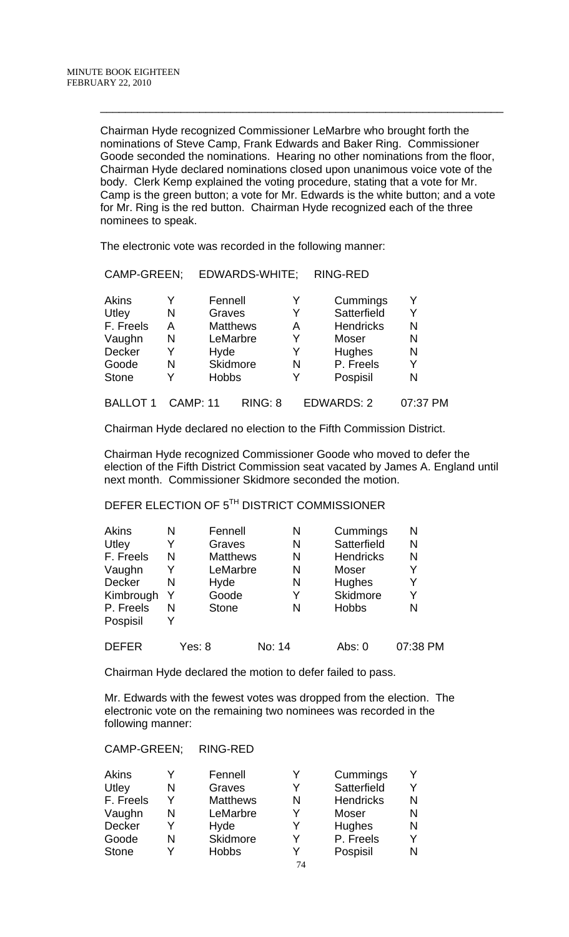Chairman Hyde recognized Commissioner LeMarbre who brought forth the nominations of Steve Camp, Frank Edwards and Baker Ring. Commissioner Goode seconded the nominations. Hearing no other nominations from the floor, Chairman Hyde declared nominations closed upon unanimous voice vote of the body. Clerk Kemp explained the voting procedure, stating that a vote for Mr. Camp is the green button; a vote for Mr. Edwards is the white button; and a vote for Mr. Ring is the red button. Chairman Hyde recognized each of the three nominees to speak.

 $\frac{1}{2}$  ,  $\frac{1}{2}$  ,  $\frac{1}{2}$  ,  $\frac{1}{2}$  ,  $\frac{1}{2}$  ,  $\frac{1}{2}$  ,  $\frac{1}{2}$  ,  $\frac{1}{2}$  ,  $\frac{1}{2}$  ,  $\frac{1}{2}$  ,  $\frac{1}{2}$  ,  $\frac{1}{2}$  ,  $\frac{1}{2}$  ,  $\frac{1}{2}$  ,  $\frac{1}{2}$  ,  $\frac{1}{2}$  ,  $\frac{1}{2}$  ,  $\frac{1}{2}$  ,  $\frac{1$ 

The electronic vote was recorded in the following manner:

CAMP-GREEN; EDWARDS-WHITE; RING-RED

| CAMP-GREEN;   |   | EDWARDS-WHILE;  |   | <b>RING-RED</b>  |   |
|---------------|---|-----------------|---|------------------|---|
| Akins         |   | Fennell         | Y | Cummings         | Y |
| Utley         | N | Graves          | Y | Satterfield      | Y |
| F. Freels     | А | <b>Matthews</b> | A | <b>Hendricks</b> | N |
| Vaughn        | N | LeMarbre        | Y | Moser            | N |
| <b>Decker</b> | Y | Hyde            | Y | <b>Hughes</b>    | N |
| Goode         | N | Skidmore        | N | P. Freels        | Y |
| <b>Stone</b>  |   | <b>Hobbs</b>    | Y | Pospisil         | N |

## BALLOT 1 CAMP: 11 RING: 8 EDWARDS: 2 07:37 PM

Chairman Hyde declared no election to the Fifth Commission District.

 Chairman Hyde recognized Commissioner Goode who moved to defer the election of the Fifth District Commission seat vacated by James A. England until next month. Commissioner Skidmore seconded the motion.

# DEFER ELECTION OF 5TH DISTRICT COMMISSIONER

| <b>Akins</b>  | Ν | Fennell         | N      | Cummings         | N        |
|---------------|---|-----------------|--------|------------------|----------|
| Utley         | Y | Graves          | N      | Satterfield      | N        |
| F. Freels     | N | <b>Matthews</b> | N      | <b>Hendricks</b> | N        |
| Vaughn        | Y | LeMarbre        | N      | Moser            | Y        |
| <b>Decker</b> | N | Hyde            | N      | Hughes           | Y        |
| Kimbrough     | Y | Goode           | Y      | Skidmore         | Y        |
| P. Freels     | N | <b>Stone</b>    | N      | <b>Hobbs</b>     | N        |
| Pospisil      | Y |                 |        |                  |          |
| <b>DEFER</b>  |   | Yes: 8          | No: 14 | Abs: 0           | 07:38 PM |

Chairman Hyde declared the motion to defer failed to pass.

Mr. Edwards with the fewest votes was dropped from the election. The electronic vote on the remaining two nominees was recorded in the following manner:

#### CAMP-GREEN; RING-RED

| <b>Akins</b> |   | Fennell         | Y  | Cummings         |   |
|--------------|---|-----------------|----|------------------|---|
| Utley        | N | Graves          | Y  | Satterfield      | v |
| F. Freels    |   | <b>Matthews</b> | N  | <b>Hendricks</b> | N |
| Vaughn       | N | LeMarbre        | Y  | <b>Moser</b>     |   |
| Decker       |   | Hyde            | Y  | Hughes           | N |
| Goode        | N | Skidmore        | v  | P. Freels        |   |
| <b>Stone</b> |   | <b>Hobbs</b>    |    | Pospisil         |   |
|              |   |                 | 74 |                  |   |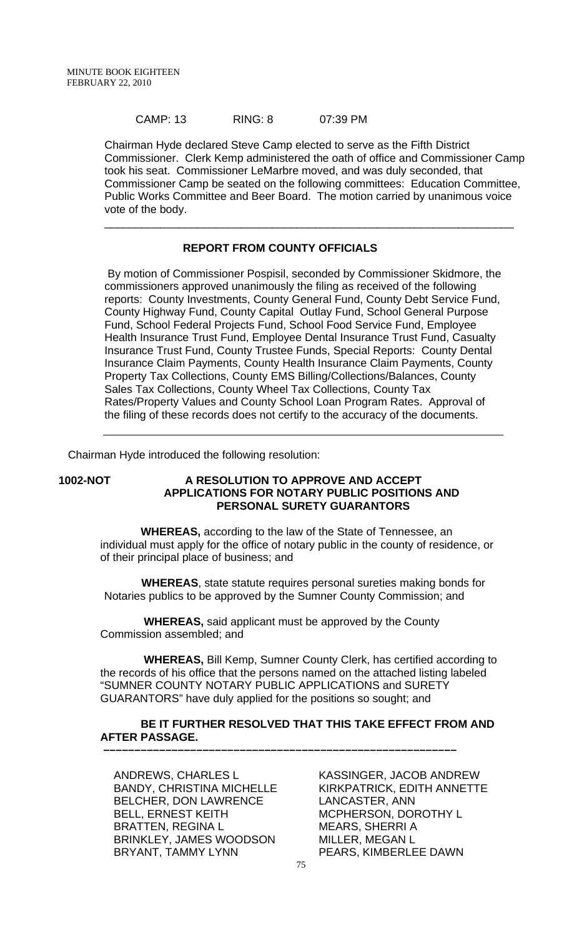#### CAMP: 13 RING: 8 07:39 PM

Chairman Hyde declared Steve Camp elected to serve as the Fifth District Commissioner. Clerk Kemp administered the oath of office and Commissioner Camp took his seat. Commissioner LeMarbre moved, and was duly seconded, that Commissioner Camp be seated on the following committees: Education Committee, Public Works Committee and Beer Board. The motion carried by unanimous voice vote of the body.

\_\_\_\_\_\_\_\_\_\_\_\_\_\_\_\_\_\_\_\_\_\_\_\_\_\_\_\_\_\_\_\_\_\_\_\_\_\_\_\_\_\_\_\_\_\_\_\_\_\_\_\_\_\_\_\_\_\_\_\_\_\_\_\_\_\_

#### **REPORT FROM COUNTY OFFICIALS**

 By motion of Commissioner Pospisil, seconded by Commissioner Skidmore, the commissioners approved unanimously the filing as received of the following reports: County Investments, County General Fund, County Debt Service Fund, County Highway Fund, County Capital Outlay Fund, School General Purpose Fund, School Federal Projects Fund, School Food Service Fund, Employee Health Insurance Trust Fund, Employee Dental Insurance Trust Fund, Casualty Insurance Trust Fund, County Trustee Funds, Special Reports: County Dental Insurance Claim Payments, County Health Insurance Claim Payments, County Property Tax Collections, County EMS Billing/Collections/Balances, County Sales Tax Collections, County Wheel Tax Collections, County Tax Rates/Property Values and County School Loan Program Rates. Approval of the filing of these records does not certify to the accuracy of the documents.

Chairman Hyde introduced the following resolution:

#### **1002-NOT A RESOLUTION TO APPROVE AND ACCEPT APPLICATIONS FOR NOTARY PUBLIC POSITIONS AND PERSONAL SURETY GUARANTORS**

 **WHEREAS,** according to the law of the State of Tennessee, an individual must apply for the office of notary public in the county of residence, or of their principal place of business; and

 **WHEREAS**, state statute requires personal sureties making bonds for Notaries publics to be approved by the Sumner County Commission; and

 **WHEREAS,** said applicant must be approved by the County Commission assembled; and

 **–––––––––––––––––––––––––––––––––––––––––––––––––––––––––**

 **WHEREAS,** Bill Kemp, Sumner County Clerk, has certified according to the records of his office that the persons named on the attached listing labeled "SUMNER COUNTY NOTARY PUBLIC APPLICATIONS and SURETY GUARANTORS" have duly applied for the positions so sought; and

## **BE IT FURTHER RESOLVED THAT THIS TAKE EFFECT FROM AND AFTER PASSAGE.**

ANDREWS, CHARLES L BANDY, CHRISTINA MICHELLE BELCHER, DON LAWRENCE BELL, ERNEST KEITH BRATTEN, REGINA L BRINKLEY, JAMES WOODSON BRYANT, TAMMY LYNN

KASSINGER, JACOB ANDREW KIRKPATRICK, EDITH ANNETTE LANCASTER, ANN MCPHERSON, DOROTHY L MEARS, SHERRI A MILLER, MEGAN L PEARS, KIMBERLEE DAWN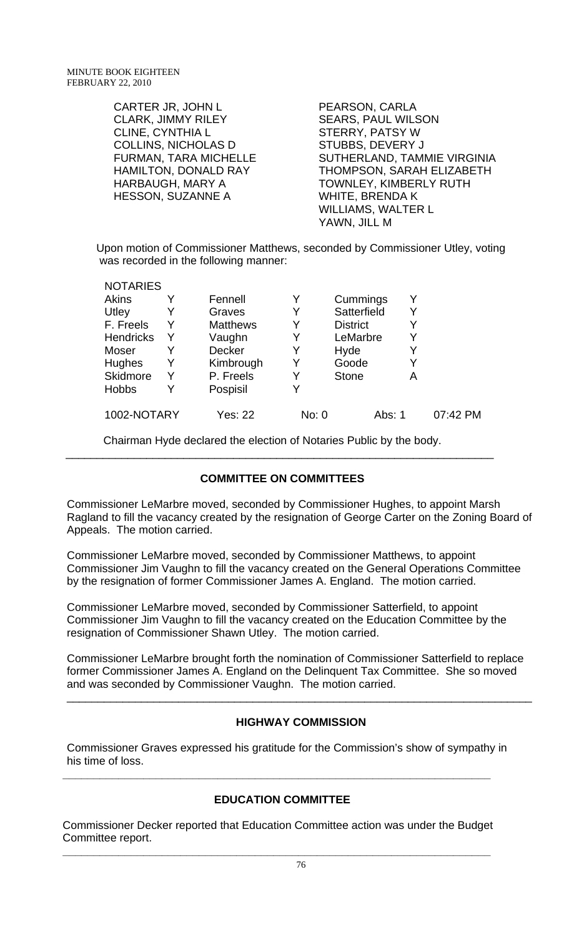| CARTER JR, JOHN L           | PEARSON, CARLA                |
|-----------------------------|-------------------------------|
| <b>CLARK, JIMMY RILEY</b>   | <b>SEARS, PAUL WILSON</b>     |
| <b>CLINE, CYNTHIA L</b>     | <b>STERRY, PATSY W</b>        |
| <b>COLLINS, NICHOLAS D</b>  | <b>STUBBS, DEVERY J</b>       |
| FURMAN, TARA MICHELLE       | SUTHERLAND, TAMMIE VIRGINIA   |
| <b>HAMILTON, DONALD RAY</b> | THOMPSON, SARAH ELIZABETH     |
| <b>HARBAUGH, MARY A</b>     | <b>TOWNLEY, KIMBERLY RUTH</b> |
| <b>HESSON, SUZANNE A</b>    | <b>WHITE, BRENDA K</b>        |
|                             | <b>WILLIAMS, WALTER L</b>     |
|                             | YAWN, JILL M                  |

Upon motion of Commissioner Matthews, seconded by Commissioner Utley, voting was recorded in the following manner:

| <b>NOTARIES</b>  |   |                 |       |                 |   |          |
|------------------|---|-----------------|-------|-----------------|---|----------|
| Akins            |   | Fennell         | Y     | Cummings        | Y |          |
| Utley            |   | Graves          | Y     | Satterfield     | Y |          |
| F. Freels        | Y | <b>Matthews</b> | Y     | <b>District</b> | Y |          |
| <b>Hendricks</b> | Y | Vaughn          | Y     | LeMarbre        | Y |          |
| Moser            |   | <b>Decker</b>   | Y     | Hyde            | Y |          |
| <b>Hughes</b>    | Y | Kimbrough       | Y     | Goode           | Y |          |
| Skidmore         | Y | P. Freels       |       | <b>Stone</b>    | А |          |
| <b>Hobbs</b>     | Y | Pospisil        | Y     |                 |   |          |
| 1002-NOTARY      |   | <b>Yes: 22</b>  | No: 0 | Abs: 1          |   | 07:42 PM |

Chairman Hyde declared the election of Notaries Public by the body.

# **COMMITTEE ON COMMITTEES**

\_\_\_\_\_\_\_\_\_\_\_\_\_\_\_\_\_\_\_\_\_\_\_\_\_\_\_\_\_\_\_\_\_\_\_\_\_\_\_\_\_\_\_\_\_\_\_\_\_\_\_\_\_\_\_\_\_\_\_\_\_\_\_\_\_\_\_\_\_

Commissioner LeMarbre moved, seconded by Commissioner Hughes, to appoint Marsh Ragland to fill the vacancy created by the resignation of George Carter on the Zoning Board of Appeals. The motion carried.

Commissioner LeMarbre moved, seconded by Commissioner Matthews, to appoint Commissioner Jim Vaughn to fill the vacancy created on the General Operations Committee by the resignation of former Commissioner James A. England. The motion carried.

Commissioner LeMarbre moved, seconded by Commissioner Satterfield, to appoint Commissioner Jim Vaughn to fill the vacancy created on the Education Committee by the resignation of Commissioner Shawn Utley. The motion carried.

Commissioner LeMarbre brought forth the nomination of Commissioner Satterfield to replace former Commissioner James A. England on the Delinquent Tax Committee. She so moved and was seconded by Commissioner Vaughn. The motion carried.

# **HIGHWAY COMMISSION**

\_\_\_\_\_\_\_\_\_\_\_\_\_\_\_\_\_\_\_\_\_\_\_\_\_\_\_\_\_\_\_\_\_\_\_\_\_\_\_\_\_\_\_\_\_\_\_\_\_\_\_\_\_\_\_\_\_\_\_\_\_\_\_\_\_\_\_\_\_\_\_\_\_\_\_

Commissioner Graves expressed his gratitude for the Commission's show of sympathy in his time of loss.

# **EDUCATION COMMITTEE**

**\_\_\_\_\_\_\_\_\_\_\_\_\_\_\_\_\_\_\_\_\_\_\_\_\_\_\_\_\_\_\_\_\_\_\_\_\_\_\_\_\_\_\_\_\_\_\_\_\_\_\_\_\_\_\_\_\_\_\_\_\_\_\_\_\_\_\_\_\_** 

Commissioner Decker reported that Education Committee action was under the Budget Committee report. **\_\_\_\_\_\_\_\_\_\_\_\_\_\_\_\_\_\_\_\_\_\_\_\_\_\_\_\_\_\_\_\_\_\_\_\_\_\_\_\_\_\_\_\_\_\_\_\_\_\_\_\_\_\_\_\_\_\_\_\_\_\_\_\_\_\_\_\_\_**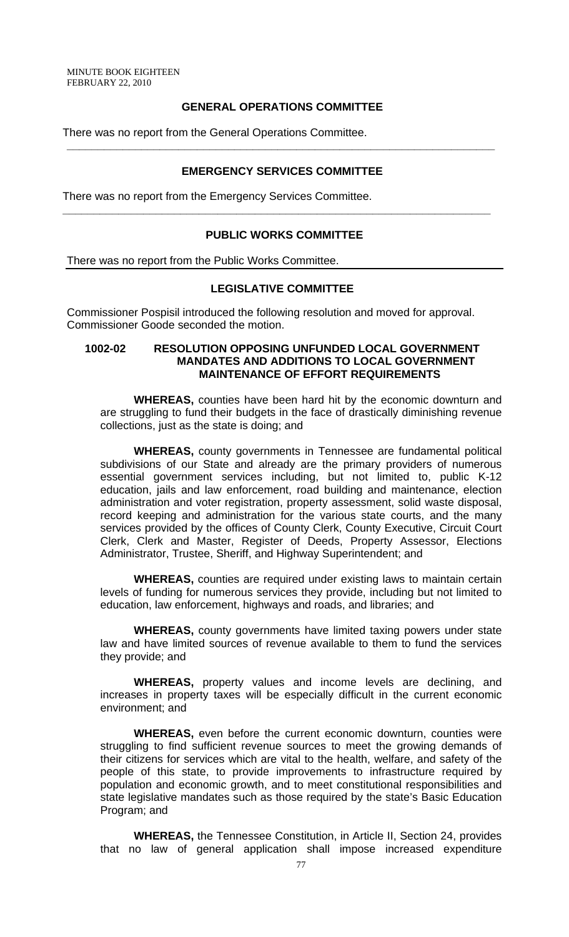MINUTE BOOK EIGHTEEN FEBRUARY 22, 2010

#### **GENERAL OPERATIONS COMMITTEE**

There was no report from the General Operations Committee.

#### **EMERGENCY SERVICES COMMITTEE**

**\_\_\_\_\_\_\_\_\_\_\_\_\_\_\_\_\_\_\_\_\_\_\_\_\_\_\_\_\_\_\_\_\_\_\_\_\_\_\_\_\_\_\_\_\_\_\_\_\_\_\_\_\_\_\_\_\_\_\_\_\_\_\_\_\_\_\_\_\_** 

There was no report from the Emergency Services Committee.

#### **PUBLIC WORKS COMMITTEE**

**\_\_\_\_\_\_\_\_\_\_\_\_\_\_\_\_\_\_\_\_\_\_\_\_\_\_\_\_\_\_\_\_\_\_\_\_\_\_\_\_\_\_\_\_\_\_\_\_\_\_\_\_\_\_\_\_\_\_\_\_\_\_\_\_\_\_\_\_\_** 

There was no report from the Public Works Committee.

### **LEGISLATIVE COMMITTEE**

Commissioner Pospisil introduced the following resolution and moved for approval. Commissioner Goode seconded the motion.

#### **1002-02 RESOLUTION OPPOSING UNFUNDED LOCAL GOVERNMENT MANDATES AND ADDITIONS TO LOCAL GOVERNMENT MAINTENANCE OF EFFORT REQUIREMENTS**

**WHEREAS,** counties have been hard hit by the economic downturn and are struggling to fund their budgets in the face of drastically diminishing revenue collections, just as the state is doing; and

**WHEREAS,** county governments in Tennessee are fundamental political subdivisions of our State and already are the primary providers of numerous essential government services including, but not limited to, public K-12 education, jails and law enforcement, road building and maintenance, election administration and voter registration, property assessment, solid waste disposal, record keeping and administration for the various state courts, and the many services provided by the offices of County Clerk, County Executive, Circuit Court Clerk, Clerk and Master, Register of Deeds, Property Assessor, Elections Administrator, Trustee, Sheriff, and Highway Superintendent; and

**WHEREAS,** counties are required under existing laws to maintain certain levels of funding for numerous services they provide, including but not limited to education, law enforcement, highways and roads, and libraries; and

**WHEREAS,** county governments have limited taxing powers under state law and have limited sources of revenue available to them to fund the services they provide; and

**WHEREAS,** property values and income levels are declining, and increases in property taxes will be especially difficult in the current economic environment; and

**WHEREAS,** even before the current economic downturn, counties were struggling to find sufficient revenue sources to meet the growing demands of their citizens for services which are vital to the health, welfare, and safety of the people of this state, to provide improvements to infrastructure required by population and economic growth, and to meet constitutional responsibilities and state legislative mandates such as those required by the state's Basic Education Program; and

**WHEREAS,** the Tennessee Constitution, in Article II, Section 24, provides that no law of general application shall impose increased expenditure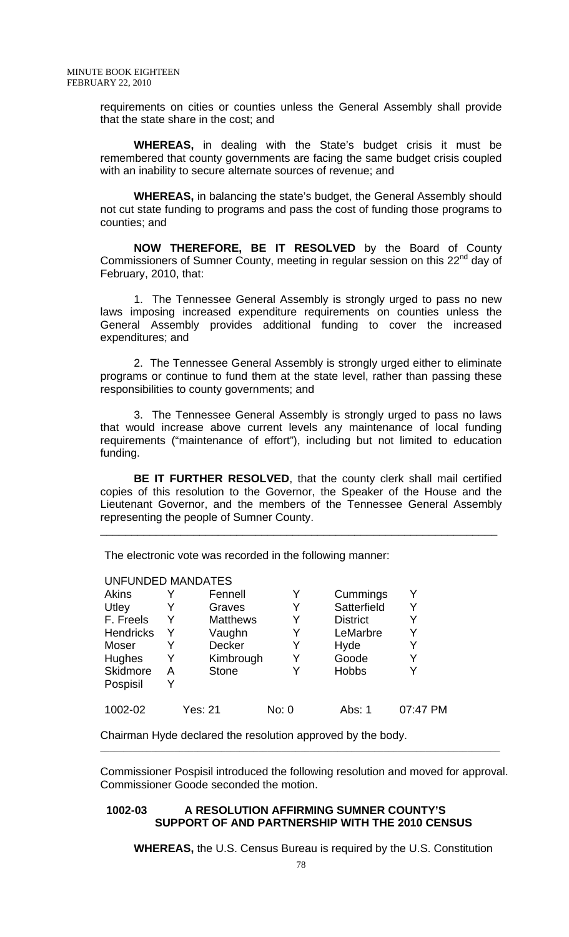requirements on cities or counties unless the General Assembly shall provide that the state share in the cost; and

**WHEREAS,** in dealing with the State's budget crisis it must be remembered that county governments are facing the same budget crisis coupled with an inability to secure alternate sources of revenue; and

**WHEREAS,** in balancing the state's budget, the General Assembly should not cut state funding to programs and pass the cost of funding those programs to counties; and

**NOW THEREFORE, BE IT RESOLVED** by the Board of County Commissioners of Sumner County, meeting in regular session on this 22<sup>nd</sup> day of February, 2010, that:

1. The Tennessee General Assembly is strongly urged to pass no new laws imposing increased expenditure requirements on counties unless the General Assembly provides additional funding to cover the increased expenditures; and

2. The Tennessee General Assembly is strongly urged either to eliminate programs or continue to fund them at the state level, rather than passing these responsibilities to county governments; and

3. The Tennessee General Assembly is strongly urged to pass no laws that would increase above current levels any maintenance of local funding requirements ("maintenance of effort"), including but not limited to education funding.

**BE IT FURTHER RESOLVED**, that the county clerk shall mail certified copies of this resolution to the Governor, the Speaker of the House and the Lieutenant Governor, and the members of the Tennessee General Assembly representing the people of Sumner County.

\_\_\_\_\_\_\_\_\_\_\_\_\_\_\_\_\_\_\_\_\_\_\_\_\_\_\_\_\_\_\_\_\_\_\_\_\_\_\_\_\_\_\_\_\_\_\_\_\_\_\_\_\_\_\_\_\_\_\_\_\_\_\_\_

The electronic vote was recorded in the following manner:

#### UNFUNDED MANDATES

| Akins     |   | Fennell         |       | Cummings        |          |
|-----------|---|-----------------|-------|-----------------|----------|
| Utley     |   | Graves          |       | Satterfield     |          |
| F. Freels | Y | <b>Matthews</b> | Y     | <b>District</b> | Y        |
| Hendricks | Y | Vaughn          | Y     | LeMarbre        | Y        |
| Moser     |   | <b>Decker</b>   | Y     | Hyde            |          |
| Hughes    | Y | Kimbrough       | Y     | Goode           | Y        |
| Skidmore  | А | <b>Stone</b>    | Y     | <b>Hobbs</b>    |          |
| Pospisil  | Y |                 |       |                 |          |
| 1002-02   |   | Yes: 21         | No: 0 | Abs: 1          | 07:47 PM |

Chairman Hyde declared the resolution approved by the body.

Commissioner Pospisil introduced the following resolution and moved for approval. Commissioner Goode seconded the motion.

\_\_\_\_\_\_\_\_\_\_\_\_\_\_\_\_\_\_\_\_\_\_\_\_\_\_\_\_\_\_\_\_\_\_\_\_\_\_\_\_\_\_\_\_\_\_\_\_\_\_\_\_\_\_\_\_\_\_\_\_\_\_\_\_\_\_\_\_\_\_\_\_\_\_\_\_\_\_\_\_\_\_\_\_\_\_

#### **1002-03 A RESOLUTION AFFIRMING SUMNER COUNTY'S SUPPORT OF AND PARTNERSHIP WITH THE 2010 CENSUS**

 **WHEREAS,** the U.S. Census Bureau is required by the U.S. Constitution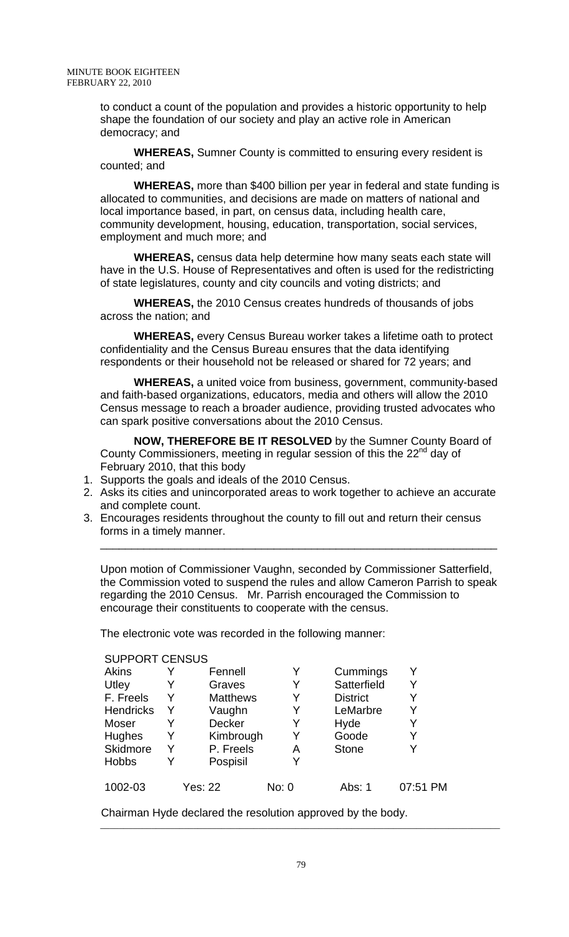to conduct a count of the population and provides a historic opportunity to help shape the foundation of our society and play an active role in American democracy; and

**WHEREAS,** Sumner County is committed to ensuring every resident is counted; and

 **WHEREAS,** more than \$400 billion per year in federal and state funding is allocated to communities, and decisions are made on matters of national and local importance based, in part, on census data, including health care, community development, housing, education, transportation, social services, employment and much more; and

 **WHEREAS,** census data help determine how many seats each state will have in the U.S. House of Representatives and often is used for the redistricting of state legislatures, county and city councils and voting districts; and

 **WHEREAS,** the 2010 Census creates hundreds of thousands of jobs across the nation; and

 **WHEREAS,** every Census Bureau worker takes a lifetime oath to protect confidentiality and the Census Bureau ensures that the data identifying respondents or their household not be released or shared for 72 years; and

 **WHEREAS,** a united voice from business, government, community-based and faith-based organizations, educators, media and others will allow the 2010 Census message to reach a broader audience, providing trusted advocates who can spark positive conversations about the 2010 Census.

**NOW, THEREFORE BE IT RESOLVED** by the Sumner County Board of County Commissioners, meeting in regular session of this the 22<sup>nd</sup> day of February 2010, that this body

- 1. Supports the goals and ideals of the 2010 Census.
- 2. Asks its cities and unincorporated areas to work together to achieve an accurate and complete count.
- 3. Encourages residents throughout the county to fill out and return their census forms in a timely manner.

Upon motion of Commissioner Vaughn, seconded by Commissioner Satterfield, the Commission voted to suspend the rules and allow Cameron Parrish to speak regarding the 2010 Census. Mr. Parrish encouraged the Commission to encourage their constituents to cooperate with the census.

\_\_\_\_\_\_\_\_\_\_\_\_\_\_\_\_\_\_\_\_\_\_\_\_\_\_\_\_\_\_\_\_\_\_\_\_\_\_\_\_\_\_\_\_\_\_\_\_\_\_\_\_\_\_\_\_\_\_\_\_\_\_\_\_

The electronic vote was recorded in the following manner:

#### SUPPORT CENSUS

| Akins            |   | Fennell         |       | Cummings        |          |
|------------------|---|-----------------|-------|-----------------|----------|
| Utley            | Y | Graves          |       | Satterfield     | Y        |
| F. Freels        | Y | <b>Matthews</b> |       | <b>District</b> |          |
| <b>Hendricks</b> | Y | Vaughn          |       | LeMarbre        | Y        |
| Moser            |   | <b>Decker</b>   |       | Hyde            |          |
| Hughes           | Y | Kimbrough       |       | Goode           | Y        |
| Skidmore         | Y | P. Freels       | Α     | <b>Stone</b>    |          |
| <b>Hobbs</b>     | Y | Pospisil        |       |                 |          |
| 1002-03          |   | <b>Yes: 22</b>  | No: 0 | Abs: 1          | 07:51 PM |

Chairman Hyde declared the resolution approved by the body.

\_\_\_\_\_\_\_\_\_\_\_\_\_\_\_\_\_\_\_\_\_\_\_\_\_\_\_\_\_\_\_\_\_\_\_\_\_\_\_\_\_\_\_\_\_\_\_\_\_\_\_\_\_\_\_\_\_\_\_\_\_\_\_\_\_\_\_\_\_\_\_\_\_\_\_\_\_\_\_\_\_\_\_\_\_\_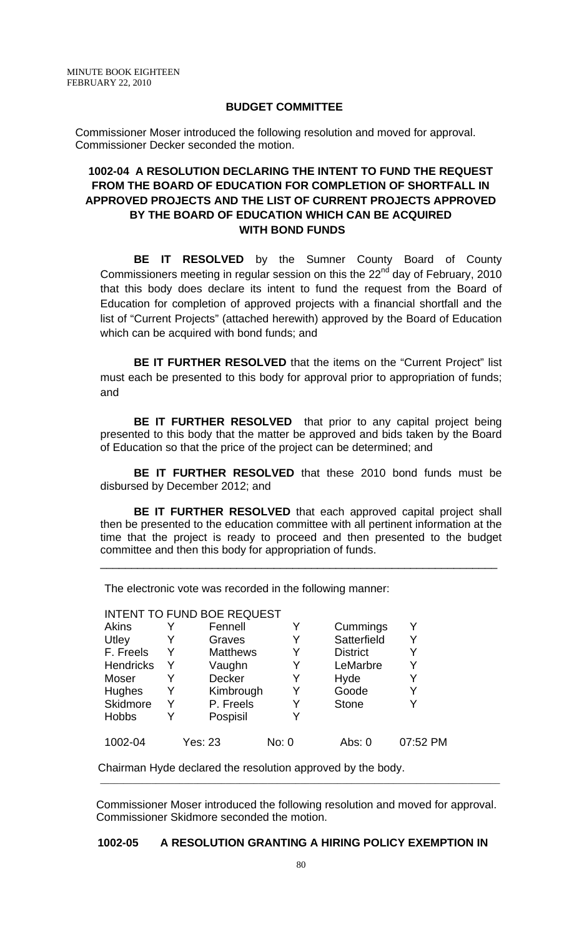## **BUDGET COMMITTEE**

Commissioner Moser introduced the following resolution and moved for approval. Commissioner Decker seconded the motion.

# **1002-04 A RESOLUTION DECLARING THE INTENT TO FUND THE REQUEST FROM THE BOARD OF EDUCATION FOR COMPLETION OF SHORTFALL IN APPROVED PROJECTS AND THE LIST OF CURRENT PROJECTS APPROVED BY THE BOARD OF EDUCATION WHICH CAN BE ACQUIRED WITH BOND FUNDS**

**BE IT RESOLVED** by the Sumner County Board of County Commissioners meeting in regular session on this the  $22<sup>nd</sup>$  day of February, 2010 that this body does declare its intent to fund the request from the Board of Education for completion of approved projects with a financial shortfall and the list of "Current Projects" (attached herewith) approved by the Board of Education which can be acquired with bond funds; and

**BE IT FURTHER RESOLVED** that the items on the "Current Project" list must each be presented to this body for approval prior to appropriation of funds; and

**BE IT FURTHER RESOLVED** that prior to any capital project being presented to this body that the matter be approved and bids taken by the Board of Education so that the price of the project can be determined; and

**BE IT FURTHER RESOLVED** that these 2010 bond funds must be disbursed by December 2012; and

**BE IT FURTHER RESOLVED** that each approved capital project shall then be presented to the education committee with all pertinent information at the time that the project is ready to proceed and then presented to the budget committee and then this body for appropriation of funds.

\_\_\_\_\_\_\_\_\_\_\_\_\_\_\_\_\_\_\_\_\_\_\_\_\_\_\_\_\_\_\_\_\_\_\_\_\_\_\_\_\_\_\_\_\_\_\_\_\_\_\_\_\_\_\_\_\_\_\_\_\_\_\_\_

The electronic vote was recorded in the following manner:

|                  |   | <b>INTENT TO FUND BOE REQUEST</b> |       |                 |          |
|------------------|---|-----------------------------------|-------|-----------------|----------|
| <b>Akins</b>     |   | Fennell                           | Y     | Cummings        |          |
| Utley            |   | Graves                            |       | Satterfield     |          |
| F. Freels        | Y | <b>Matthews</b>                   |       | <b>District</b> |          |
| <b>Hendricks</b> | Y | Vaughn                            |       | LeMarbre        |          |
| Moser            | Y | Decker                            | Y     | Hyde            |          |
| Hughes           | Y | Kimbrough                         |       | Goode           |          |
| Skidmore         | Y | P. Freels                         | Y     | <b>Stone</b>    |          |
| <b>Hobbs</b>     | Y | Pospisil                          |       |                 |          |
|                  |   |                                   |       |                 |          |
| 1002-04          |   | Yes: 23                           | No: 0 | Abs: 0          | 07:52 PM |

Chairman Hyde declared the resolution approved by the body.

Commissioner Moser introduced the following resolution and moved for approval. Commissioner Skidmore seconded the motion.

\_\_\_\_\_\_\_\_\_\_\_\_\_\_\_\_\_\_\_\_\_\_\_\_\_\_\_\_\_\_\_\_\_\_\_\_\_\_\_\_\_\_\_\_\_\_\_\_\_\_\_\_\_\_\_\_\_\_\_\_\_\_\_\_\_\_\_\_\_\_\_\_\_\_\_\_\_\_\_\_\_\_\_\_\_\_

## **1002-05 A RESOLUTION GRANTING A HIRING POLICY EXEMPTION IN**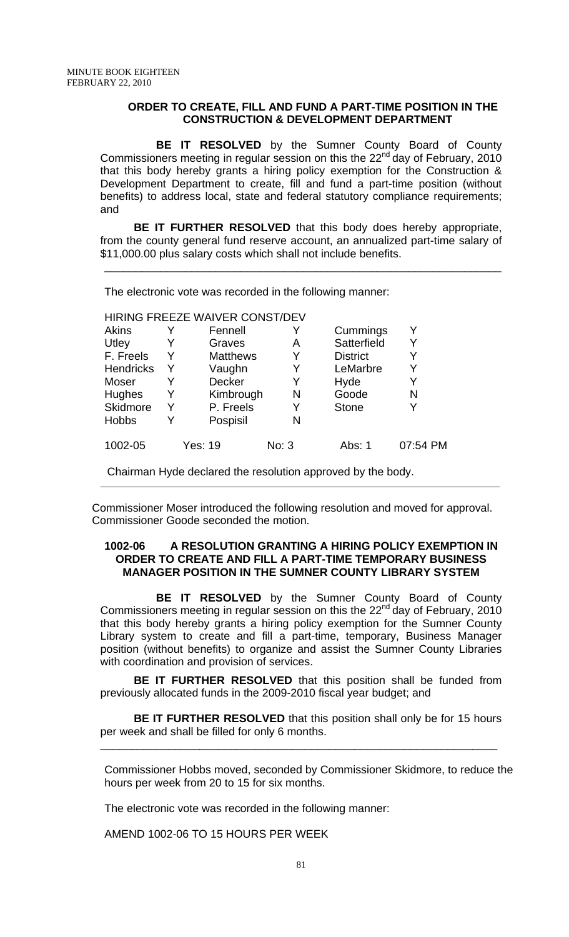#### **ORDER TO CREATE, FILL AND FUND A PART-TIME POSITION IN THE CONSTRUCTION & DEVELOPMENT DEPARTMENT**

 **BE IT RESOLVED** by the Sumner County Board of County Commissioners meeting in regular session on this the  $22<sup>nd</sup>$  day of February, 2010 that this body hereby grants a hiring policy exemption for the Construction & Development Department to create, fill and fund a part-time position (without benefits) to address local, state and federal statutory compliance requirements; and

**BE IT FURTHER RESOLVED** that this body does hereby appropriate, from the county general fund reserve account, an annualized part-time salary of \$11,000.00 plus salary costs which shall not include benefits.

\_\_\_\_\_\_\_\_\_\_\_\_\_\_\_\_\_\_\_\_\_\_\_\_\_\_\_\_\_\_\_\_\_\_\_\_\_\_\_\_\_\_\_\_\_\_\_\_\_\_\_\_\_\_\_\_\_\_\_\_\_\_\_\_

The electronic vote was recorded in the following manner:

#### HIRING FREEZE WAIVER CONST/DEV

| <b>Akins</b>     |   | Fennell         |       | Cummings        |          |
|------------------|---|-----------------|-------|-----------------|----------|
| Utley            | Y | Graves          | A     | Satterfield     | Y        |
| F. Freels        | Y | <b>Matthews</b> | Y     | <b>District</b> | Y        |
| <b>Hendricks</b> | Y | Vaughn          | Y     | LeMarbre        | Y        |
| Moser            | Y | <b>Decker</b>   | Y     | Hyde            |          |
| <b>Hughes</b>    | Y | Kimbrough       | N     | Goode           | N        |
| <b>Skidmore</b>  | Y | P. Freels       | Y     | <b>Stone</b>    | Y        |
| <b>Hobbs</b>     | Y | Pospisil        | N     |                 |          |
| 1002-05          |   | Yes: 19         | No: 3 | Abs: 1          | 07:54 PM |

Chairman Hyde declared the resolution approved by the body.

Commissioner Moser introduced the following resolution and moved for approval. Commissioner Goode seconded the motion.

\_\_\_\_\_\_\_\_\_\_\_\_\_\_\_\_\_\_\_\_\_\_\_\_\_\_\_\_\_\_\_\_\_\_\_\_\_\_\_\_\_\_\_\_\_\_\_\_\_\_\_\_\_\_\_\_\_\_\_\_\_\_\_\_\_\_\_\_\_\_\_\_\_\_\_\_\_\_\_\_\_\_\_\_\_\_

#### **1002-06 A RESOLUTION GRANTING A HIRING POLICY EXEMPTION IN ORDER TO CREATE AND FILL A PART-TIME TEMPORARY BUSINESS MANAGER POSITION IN THE SUMNER COUNTY LIBRARY SYSTEM**

 **BE IT RESOLVED** by the Sumner County Board of County Commissioners meeting in regular session on this the  $22<sup>nd</sup>$  day of February, 2010 that this body hereby grants a hiring policy exemption for the Sumner County Library system to create and fill a part-time, temporary, Business Manager position (without benefits) to organize and assist the Sumner County Libraries with coordination and provision of services.

**BE IT FURTHER RESOLVED** that this position shall be funded from previously allocated funds in the 2009-2010 fiscal year budget; and

**BE IT FURTHER RESOLVED** that this position shall only be for 15 hours per week and shall be filled for only 6 months.

\_\_\_\_\_\_\_\_\_\_\_\_\_\_\_\_\_\_\_\_\_\_\_\_\_\_\_\_\_\_\_\_\_\_\_\_\_\_\_\_\_\_\_\_\_\_\_\_\_\_\_\_\_\_\_\_\_\_\_\_\_\_\_\_

Commissioner Hobbs moved, seconded by Commissioner Skidmore, to reduce the hours per week from 20 to 15 for six months.

The electronic vote was recorded in the following manner:

AMEND 1002-06 TO 15 HOURS PER WEEK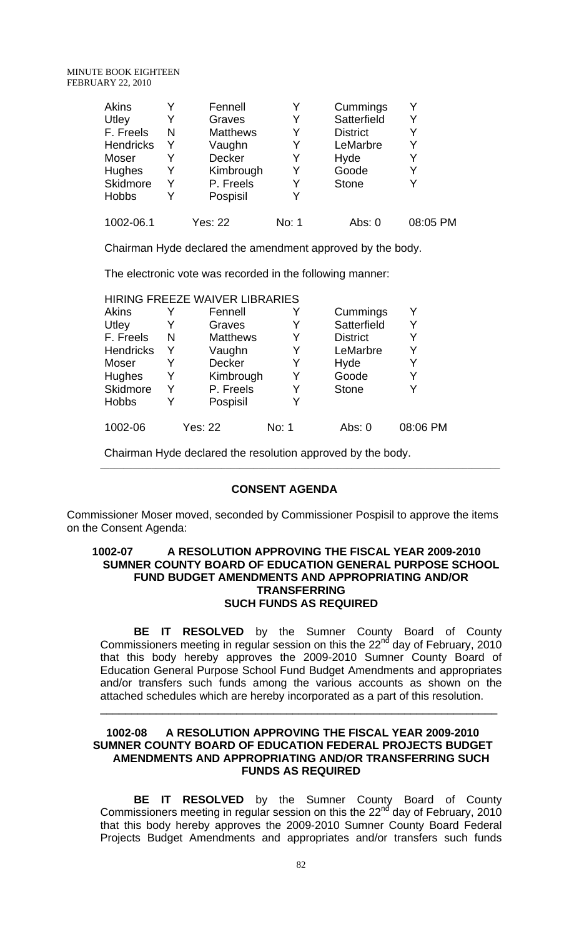| <b>Akins</b>     |   | Fennell         | Y     | Cummings        |          |
|------------------|---|-----------------|-------|-----------------|----------|
| Utley            | Y | Graves          | Y     | Satterfield     |          |
| F. Freels        | N | <b>Matthews</b> | Y     | <b>District</b> |          |
| <b>Hendricks</b> | Y | Vaughn          | Y     | LeMarbre        |          |
| Moser            |   | <b>Decker</b>   | Y     | Hyde            |          |
| <b>Hughes</b>    | Y | Kimbrough       | Y     | Goode           |          |
| Skidmore         | Y | P. Freels       | Y     | <b>Stone</b>    |          |
| <b>Hobbs</b>     |   | Pospisil        | Y     |                 |          |
| 1002-06.1        |   | Yes: 22         | No: 1 | Abs: 0          | 08:05 PM |

Chairman Hyde declared the amendment approved by the body.

The electronic vote was recorded in the following manner:

|   | Fennell         |       | Cummings                       | Y        |
|---|-----------------|-------|--------------------------------|----------|
|   | Graves          |       | Satterfield                    | Y        |
| N | <b>Matthews</b> | Y     | <b>District</b>                | Y        |
| Y | Vaughn          |       | LeMarbre                       | Y        |
| Y | Decker          | Y     | Hyde                           | Y        |
| Y | Kimbrough       |       | Goode                          | Y        |
| Y | P. Freels       | Y     | <b>Stone</b>                   |          |
| Y | Pospisil        |       |                                |          |
|   | <b>Yes: 22</b>  | No: 1 | Abs: 0                         | 08:06 PM |
|   |                 |       | HIRING FREEZE WAIVER LIBRARIES |          |

 Chairman Hyde declared the resolution approved by the body. \_\_\_\_\_\_\_\_\_\_\_\_\_\_\_\_\_\_\_\_\_\_\_\_\_\_\_\_\_\_\_\_\_\_\_\_\_\_\_\_\_\_\_\_\_\_\_\_\_\_\_\_\_\_\_\_\_\_\_\_\_\_\_\_\_\_\_\_\_\_\_\_\_\_\_\_\_\_\_\_\_\_\_\_\_\_

#### **CONSENT AGENDA**

Commissioner Moser moved, seconded by Commissioner Pospisil to approve the items on the Consent Agenda:

#### **1002-07 A RESOLUTION APPROVING THE FISCAL YEAR 2009-2010 SUMNER COUNTY BOARD OF EDUCATION GENERAL PURPOSE SCHOOL FUND BUDGET AMENDMENTS AND APPROPRIATING AND/OR TRANSFERRING SUCH FUNDS AS REQUIRED**

**BE IT RESOLVED** by the Sumner County Board of County Commissioners meeting in regular session on this the 22 $<sup>nd</sup>$  day of February, 2010</sup> that this body hereby approves the 2009-2010 Sumner County Board of Education General Purpose School Fund Budget Amendments and appropriates and/or transfers such funds among the various accounts as shown on the attached schedules which are hereby incorporated as a part of this resolution.

\_\_\_\_\_\_\_\_\_\_\_\_\_\_\_\_\_\_\_\_\_\_\_\_\_\_\_\_\_\_\_\_\_\_\_\_\_\_\_\_\_\_\_\_\_\_\_\_\_\_\_\_\_\_\_\_\_\_\_\_\_\_\_\_

#### **1002-08 A RESOLUTION APPROVING THE FISCAL YEAR 2009-2010 SUMNER COUNTY BOARD OF EDUCATION FEDERAL PROJECTS BUDGET AMENDMENTS AND APPROPRIATING AND/OR TRANSFERRING SUCH FUNDS AS REQUIRED**

 **BE IT RESOLVED** by the Sumner County Board of County Commissioners meeting in regular session on this the  $22<sup>nd</sup>$  day of February, 2010 that this body hereby approves the 2009-2010 Sumner County Board Federal Projects Budget Amendments and appropriates and/or transfers such funds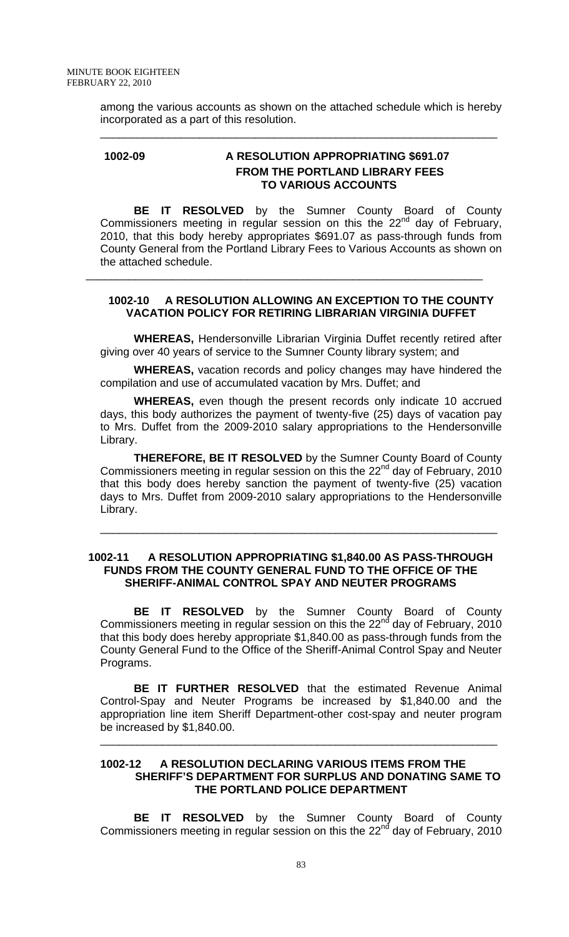among the various accounts as shown on the attached schedule which is hereby incorporated as a part of this resolution.

\_\_\_\_\_\_\_\_\_\_\_\_\_\_\_\_\_\_\_\_\_\_\_\_\_\_\_\_\_\_\_\_\_\_\_\_\_\_\_\_\_\_\_\_\_\_\_\_\_\_\_\_\_\_\_\_\_\_\_\_\_\_\_\_

## **1002-09 A RESOLUTION APPROPRIATING \$691.07 FROM THE PORTLAND LIBRARY FEES TO VARIOUS ACCOUNTS**

 **BE IT RESOLVED** by the Sumner County Board of County Commissioners meeting in regular session on this the  $22<sup>nd</sup>$  day of February, 2010, that this body hereby appropriates \$691.07 as pass-through funds from County General from the Portland Library Fees to Various Accounts as shown on the attached schedule.

# **1002-10 A RESOLUTION ALLOWING AN EXCEPTION TO THE COUNTY VACATION POLICY FOR RETIRING LIBRARIAN VIRGINIA DUFFET**

\_\_\_\_\_\_\_\_\_\_\_\_\_\_\_\_\_\_\_\_\_\_\_\_\_\_\_\_\_\_\_\_\_\_\_\_\_\_\_\_\_\_\_\_\_\_\_\_\_\_\_\_\_\_\_\_\_\_\_\_\_\_\_\_

**WHEREAS,** Hendersonville Librarian Virginia Duffet recently retired after giving over 40 years of service to the Sumner County library system; and

**WHEREAS,** vacation records and policy changes may have hindered the compilation and use of accumulated vacation by Mrs. Duffet; and

**WHEREAS,** even though the present records only indicate 10 accrued days, this body authorizes the payment of twenty-five (25) days of vacation pay to Mrs. Duffet from the 2009-2010 salary appropriations to the Hendersonville Library.

**THEREFORE, BE IT RESOLVED** by the Sumner County Board of County Commissioners meeting in regular session on this the  $22<sup>nd</sup>$  day of February, 2010 that this body does hereby sanction the payment of twenty-five (25) vacation days to Mrs. Duffet from 2009-2010 salary appropriations to the Hendersonville Library.

\_\_\_\_\_\_\_\_\_\_\_\_\_\_\_\_\_\_\_\_\_\_\_\_\_\_\_\_\_\_\_\_\_\_\_\_\_\_\_\_\_\_\_\_\_\_\_\_\_\_\_\_\_\_\_\_\_\_\_\_\_\_\_\_

#### **1002-11 A RESOLUTION APPROPRIATING \$1,840.00 AS PASS-THROUGH FUNDS FROM THE COUNTY GENERAL FUND TO THE OFFICE OF THE SHERIFF-ANIMAL CONTROL SPAY AND NEUTER PROGRAMS**

 **BE IT RESOLVED** by the Sumner County Board of County Commissioners meeting in regular session on this the  $22<sup>nd</sup>$  day of February, 2010 that this body does hereby appropriate \$1,840.00 as pass-through funds from the County General Fund to the Office of the Sheriff-Animal Control Spay and Neuter Programs.

**BE IT FURTHER RESOLVED** that the estimated Revenue Animal Control-Spay and Neuter Programs be increased by \$1,840.00 and the appropriation line item Sheriff Department-other cost-spay and neuter program be increased by \$1,840.00.

\_\_\_\_\_\_\_\_\_\_\_\_\_\_\_\_\_\_\_\_\_\_\_\_\_\_\_\_\_\_\_\_\_\_\_\_\_\_\_\_\_\_\_\_\_\_\_\_\_\_\_\_\_\_\_\_\_\_\_\_\_\_\_\_

## **1002-12 A RESOLUTION DECLARING VARIOUS ITEMS FROM THE SHERIFF'S DEPARTMENT FOR SURPLUS AND DONATING SAME TO THE PORTLAND POLICE DEPARTMENT**

 **BE IT RESOLVED** by the Sumner County Board of County Commissioners meeting in regular session on this the 22 $n^d$  day of February, 2010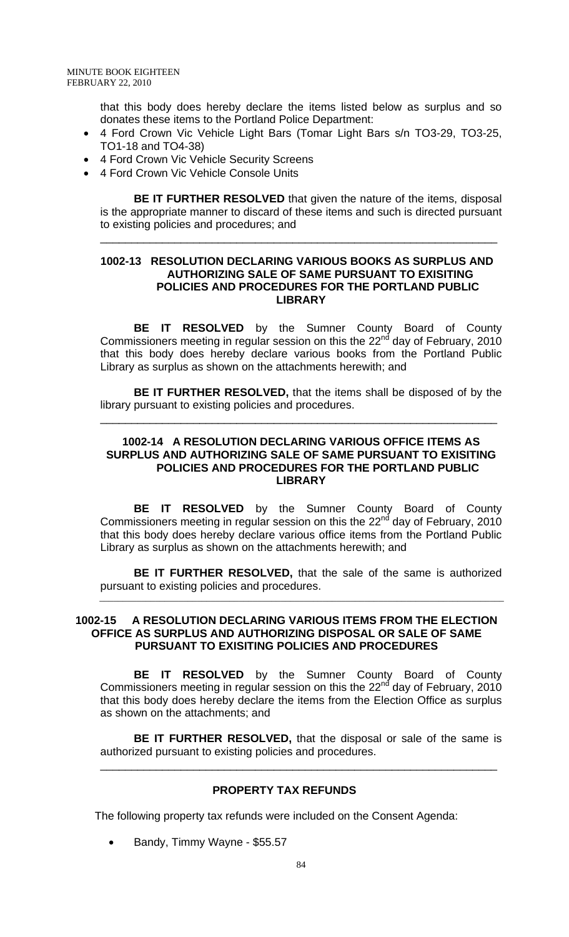that this body does hereby declare the items listed below as surplus and so donates these items to the Portland Police Department:

- 4 Ford Crown Vic Vehicle Light Bars (Tomar Light Bars s/n TO3-29, TO3-25, TO1-18 and TO4-38)
- 4 Ford Crown Vic Vehicle Security Screens
- 4 Ford Crown Vic Vehicle Console Units

**BE IT FURTHER RESOLVED** that given the nature of the items, disposal is the appropriate manner to discard of these items and such is directed pursuant to existing policies and procedures; and

\_\_\_\_\_\_\_\_\_\_\_\_\_\_\_\_\_\_\_\_\_\_\_\_\_\_\_\_\_\_\_\_\_\_\_\_\_\_\_\_\_\_\_\_\_\_\_\_\_\_\_\_\_\_\_\_\_\_\_\_\_\_\_\_

## **1002-13 RESOLUTION DECLARING VARIOUS BOOKS AS SURPLUS AND AUTHORIZING SALE OF SAME PURSUANT TO EXISITING POLICIES AND PROCEDURES FOR THE PORTLAND PUBLIC LIBRARY**

 **BE IT RESOLVED** by the Sumner County Board of County Commissioners meeting in regular session on this the  $22<sup>nd</sup>$  day of February, 2010 that this body does hereby declare various books from the Portland Public Library as surplus as shown on the attachments herewith; and

**BE IT FURTHER RESOLVED,** that the items shall be disposed of by the library pursuant to existing policies and procedures.

\_\_\_\_\_\_\_\_\_\_\_\_\_\_\_\_\_\_\_\_\_\_\_\_\_\_\_\_\_\_\_\_\_\_\_\_\_\_\_\_\_\_\_\_\_\_\_\_\_\_\_\_\_\_\_\_\_\_\_\_\_\_\_\_

## **1002-14 A RESOLUTION DECLARING VARIOUS OFFICE ITEMS AS SURPLUS AND AUTHORIZING SALE OF SAME PURSUANT TO EXISITING POLICIES AND PROCEDURES FOR THE PORTLAND PUBLIC LIBRARY**

 **BE IT RESOLVED** by the Sumner County Board of County Commissioners meeting in regular session on this the 22<sup>nd</sup> day of February, 2010 that this body does hereby declare various office items from the Portland Public Library as surplus as shown on the attachments herewith; and

**BE IT FURTHER RESOLVED,** that the sale of the same is authorized pursuant to existing policies and procedures. \_\_\_\_\_\_\_\_\_\_\_\_\_\_\_\_\_\_\_\_\_\_\_\_\_\_\_\_\_\_\_\_\_\_\_\_\_\_\_\_\_\_\_\_\_\_\_\_\_\_\_\_\_\_\_\_\_\_\_\_\_\_\_\_\_\_\_\_\_\_\_\_\_\_\_\_\_\_\_\_\_\_\_\_\_\_\_

#### **1002-15 A RESOLUTION DECLARING VARIOUS ITEMS FROM THE ELECTION OFFICE AS SURPLUS AND AUTHORIZING DISPOSAL OR SALE OF SAME PURSUANT TO EXISITING POLICIES AND PROCEDURES**

 **BE IT RESOLVED** by the Sumner County Board of County Commissioners meeting in regular session on this the 22 $<sup>nd</sup>$  day of February, 2010</sup> that this body does hereby declare the items from the Election Office as surplus as shown on the attachments; and

**BE IT FURTHER RESOLVED,** that the disposal or sale of the same is authorized pursuant to existing policies and procedures.

\_\_\_\_\_\_\_\_\_\_\_\_\_\_\_\_\_\_\_\_\_\_\_\_\_\_\_\_\_\_\_\_\_\_\_\_\_\_\_\_\_\_\_\_\_\_\_\_\_\_\_\_\_\_\_\_\_\_\_\_\_\_\_\_

#### **PROPERTY TAX REFUNDS**

The following property tax refunds were included on the Consent Agenda:

• Bandy, Timmy Wayne - \$55.57